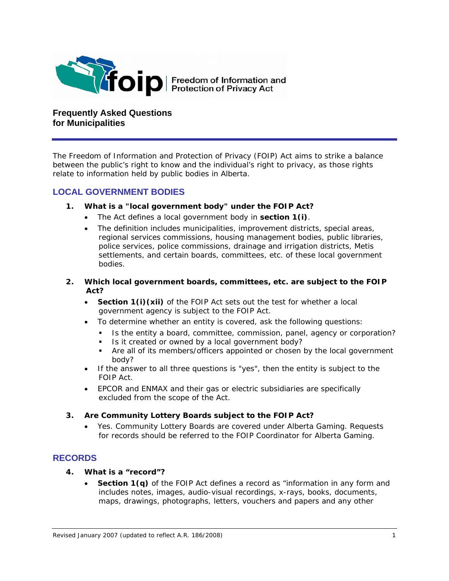

**Frequently Asked Questions for Municipalities** 

*The Freedom of Information and Protection of Privacy (FOIP) Act aims to strike a balance between the public's right to know and the individual's right to privacy, as those rights relate to information held by public bodies in Alberta.* 

## **LOCAL GOVERNMENT BODIES**

- **1. What is a "local government body" under the FOIP Act?** 
	- The Act defines a local government body in **section 1(i)**.
	- The definition includes municipalities, improvement districts, special areas, regional services commissions, housing management bodies, public libraries, police services, police commissions, drainage and irrigation districts, Metis settlements, and certain boards, committees, etc. of these local government bodies.
- **2. Which local government boards, committees, etc. are subject to the FOIP Act?** 
	- **Section 1(i)(xii)** of the FOIP Act sets out the test for whether a local government agency is subject to the FOIP Act.
	- To determine whether an entity is covered, ask the following questions:
		- Is the entity a board, committee, commission, panel, agency or corporation?
		- Is it created or owned by a local government body?
		- Are all of its members/officers appointed or chosen by the local government body?
	- If the answer to all three questions is "yes", then the entity is subject to the FOIP Act.
	- EPCOR and ENMAX and their gas or electric subsidiaries are specifically excluded from the scope of the Act.

## **3. Are Community Lottery Boards subject to the FOIP Act?**

• Yes. Community Lottery Boards are covered under Alberta Gaming. Requests for records should be referred to the FOIP Coordinator for Alberta Gaming.

# **RECORDS**

- **4. What is a "record"?** 
	- **Section 1(q)** of the FOIP Act defines a record as "information in any form and includes notes, images, audio-visual recordings, x-rays, books, documents, maps, drawings, photographs, letters, vouchers and papers and any other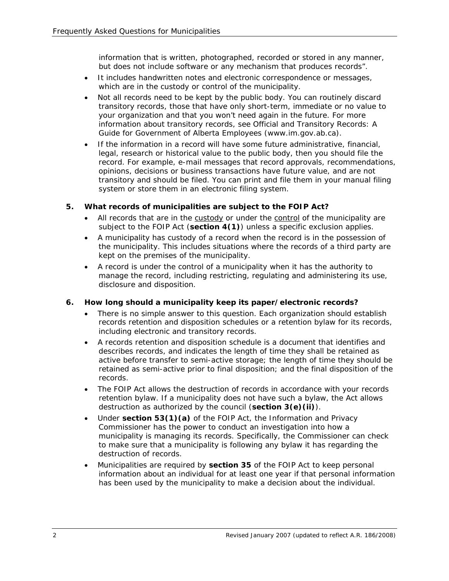information that is written, photographed, recorded or stored in any manner, but does not include software or any mechanism that produces records".

- It includes handwritten notes and electronic correspondence or messages, which are in the custody or control of the municipality.
- Not all records need to be kept by the public body. You can routinely discard transitory records, those that have only short-term, immediate or no value to your organization and that you won't need again in the future. For more information about transitory records, see *Official and Transitory Records: A Guide for Government of Alberta Employees* (www.im.gov.ab.ca).
- If the information in a record will have some future administrative, financial, legal, research or historical value to the public body, then you should file the record. For example, e-mail messages that record approvals, recommendations, opinions, decisions or business transactions have future value, and are not transitory and should be filed. You can print and file them in your manual filing system or store them in an electronic filing system.

# **5. What records of municipalities are subject to the FOIP Act?**

- All records that are in the custody or under the control of the municipality are subject to the FOIP Act (**section 4(1)**) unless a specific exclusion applies.
- A municipality has custody of a record when the record is in the possession of the municipality. This includes situations where the records of a third party are kept on the premises of the municipality.
- A record is under the control of a municipality when it has the authority to manage the record, including restricting, regulating and administering its use, disclosure and disposition.

## **6. How long should a municipality keep its paper/electronic records?**

- There is no simple answer to this question. Each organization should establish records retention and disposition schedules or a retention bylaw for its records, including electronic and transitory records.
- A records retention and disposition schedule is a document that identifies and describes records, and indicates the length of time they shall be retained as active before transfer to semi-active storage; the length of time they should be retained as semi-active prior to final disposition; and the final disposition of the records.
- The FOIP Act allows the destruction of records in accordance with your records retention bylaw. If a municipality does not have such a bylaw, the Act allows destruction as authorized by the council (**section 3(e)(ii)**).
- Under **section 53(1)(a)** of the FOIP Act, the Information and Privacy Commissioner has the power to conduct an investigation into how a municipality is managing its records. Specifically, the Commissioner can check to make sure that a municipality is following any bylaw it has regarding the destruction of records.
- Municipalities are required by **section 35** of the FOIP Act to keep personal information about an individual for at least one year if that personal information has been used by the municipality to make a decision about the individual.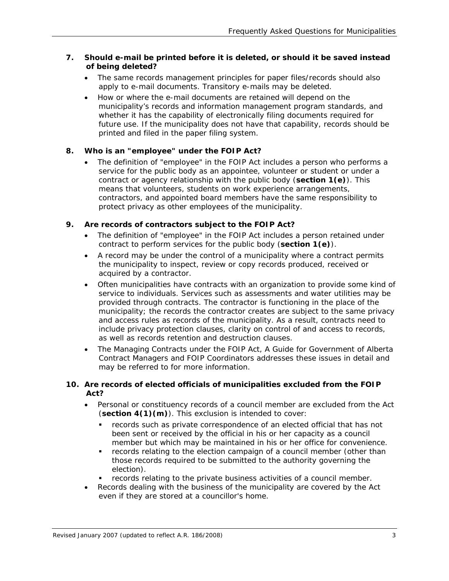## **7. Should e-mail be printed before it is deleted, or should it be saved instead of being deleted?**

- The same records management principles for paper files/records should also apply to e-mail documents. Transitory e-mails may be deleted.
- How or where the e-mail documents are retained will depend on the municipality's records and information management program standards, and whether it has the capability of electronically filing documents required for future use. If the municipality does not have that capability, records should be printed and filed in the paper filing system.

## **8. Who is an "employee" under the FOIP Act?**

• The definition of "employee" in the FOIP Act includes a person who performs a service for the public body as an appointee, volunteer or student or under a contract or agency relationship with the public body (**section 1(e)**). This means that volunteers, students on work experience arrangements, contractors, and appointed board members have the same responsibility to protect privacy as other employees of the municipality.

## **9. Are records of contractors subject to the FOIP Act?**

- The definition of "employee" in the FOIP Act includes a person retained under contract to perform services for the public body (**section 1(e)**).
- A record may be under the control of a municipality where a contract permits the municipality to inspect, review or copy records produced, received or acquired by a contractor.
- Often municipalities have contracts with an organization to provide some kind of service to individuals. Services such as assessments and water utilities may be provided through contracts. The contractor is functioning in the place of the municipality; the records the contractor creates are subject to the same privacy and access rules as records of the municipality. As a result, contracts need to include privacy protection clauses, clarity on control of and access to records, as well as records retention and destruction clauses.
- The *Managing Contracts under the FOIP Act, A Guide for Government of Alberta Contract Managers and FOIP Coordinators* addresses these issues in detail and may be referred to for more information.

## **10. Are records of elected officials of municipalities excluded from the FOIP Act?**

- Personal or constituency records of a council member are excluded from the Act (**section 4(1)(m)**). This exclusion is intended to cover:
	- **•** records such as private correspondence of an elected official that has not been sent or received by the official in his or her capacity as a council member but which may be maintained in his or her office for convenience.
	- records relating to the election campaign of a council member (other than those records required to be submitted to the authority governing the election).
	- records relating to the private business activities of a council member.
- Records dealing with the business of the municipality are covered by the Act even if they are stored at a councillor's home.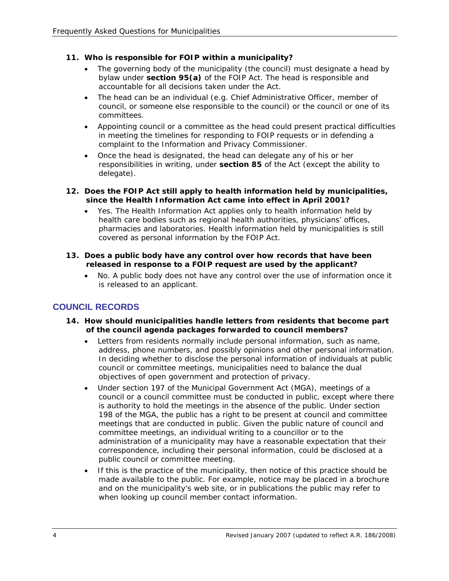## **11. Who is responsible for FOIP within a municipality?**

- The governing body of the municipality (the council) must designate a head by bylaw under **section 95(a)** of the FOIP Act. The head is responsible and accountable for all decisions taken under the Act.
- The head can be an individual (e.g. Chief Administrative Officer, member of council, or someone else responsible to the council) or the council or one of its committees.
- Appointing council or a committee as the head could present practical difficulties in meeting the timelines for responding to FOIP requests or in defending a complaint to the Information and Privacy Commissioner.
- Once the head is designated, the head can delegate any of his or her responsibilities in writing, under **section 85** of the Act (except the ability to delegate).
- **12. Does the FOIP Act still apply to health information held by municipalities, since the** *Health Information Act* **came into effect in April 2001?** 
	- Yes. The *Health Information Act* applies only to health information held by health care bodies such as regional health authorities, physicians' offices, pharmacies and laboratories. Health information held by municipalities is still covered as personal information by the FOIP Act.
- **13. Does a public body have any control over how records that have been released in response to a FOIP request are used by the applicant?** 
	- No. A public body does not have any control over the use of information once it is released to an applicant.

# **COUNCIL RECORDS**

- **14. How should municipalities handle letters from residents that become part of the council agenda packages forwarded to council members?** 
	- Letters from residents normally include personal information, such as name, address, phone numbers, and possibly opinions and other personal information. In deciding whether to disclose the personal information of individuals at public council or committee meetings, municipalities need to balance the dual objectives of open government and protection of privacy.
	- Under section 197 of the *Municipal Government Act* (MGA), meetings of a council or a council committee must be conducted in public, except where there is authority to hold the meetings in the absence of the public. Under section 198 of the MGA, the public has a right to be present at council and committee meetings that are conducted in public. Given the public nature of council and committee meetings, an individual writing to a councillor or to the administration of a municipality may have a reasonable expectation that their correspondence, including their personal information, could be disclosed at a public council or committee meeting.
	- If this is the practice of the municipality, then notice of this practice should be made available to the public. For example, notice may be placed in a brochure and on the municipality's web site, or in publications the public may refer to when looking up council member contact information.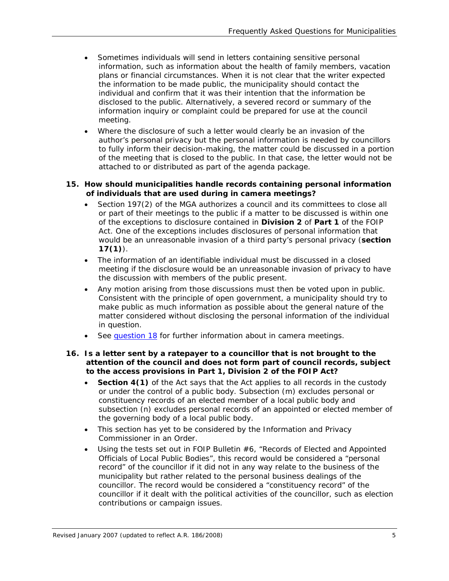- Sometimes individuals will send in letters containing sensitive personal information, such as information about the health of family members, vacation plans or financial circumstances. When it is not clear that the writer expected the information to be made public, the municipality should contact the individual and confirm that it was their intention that the information be disclosed to the public. Alternatively, a severed record or summary of the information inquiry or complaint could be prepared for use at the council meeting.
- Where the disclosure of such a letter would clearly be an invasion of the author's personal privacy but the personal information is needed by councillors to fully inform their decision-making, the matter could be discussed in a portion of the meeting that is closed to the public. In that case, the letter would not be attached to or distributed as part of the agenda package.

#### **15. How should municipalities handle records containing personal information of individuals that are used during in camera meetings?**

- Section 197(2) of the MGA authorizes a council and its committees to close all or part of their meetings to the public if a matter to be discussed is within one of the exceptions to disclosure contained in **Division 2** of **Part 1** of the FOIP Act*.* One of the exceptions includes disclosures of personal information that would be an unreasonable invasion of a third party's personal privacy (**section 17(1)**).
- The information of an identifiable individual must be discussed in a closed meeting if the disclosure would be an unreasonable invasion of privacy to have the discussion with members of the public present.
- Any motion arising from those discussions must then be voted upon in public. Consistent with the principle of open government, a municipality should try to make public as much information as possible about the general nature of the matter considered without disclosing the personal information of the individual in question.
- See [question 18](#page-5-0) for further information about in camera meetings.

#### **16. Is a letter sent by a ratepayer to a councillor that is not brought to the attention of the council and does not form part of council records, subject to the access provisions in Part 1, Division 2 of the FOIP Act***?*

- **Section 4(1)** of the Act says that the Act applies to all records in the custody or under the control of a public body. Subsection (m) excludes personal or constituency records of an elected member of a local public body and subsection (n) excludes personal records of an appointed or elected member of the governing body of a local public body.
- This section has yet to be considered by the Information and Privacy Commissioner in an Order.
- Using the tests set out in *FOIP Bulletin #6, "Records of Elected and Appointed Officials of Local Public Bodies",* this record would be considered a "personal record" of the councillor if it did not in any way relate to the business of the municipality but rather related to the personal business dealings of the councillor. The record would be considered a "constituency record" of the councillor if it dealt with the political activities of the councillor, such as election contributions or campaign issues.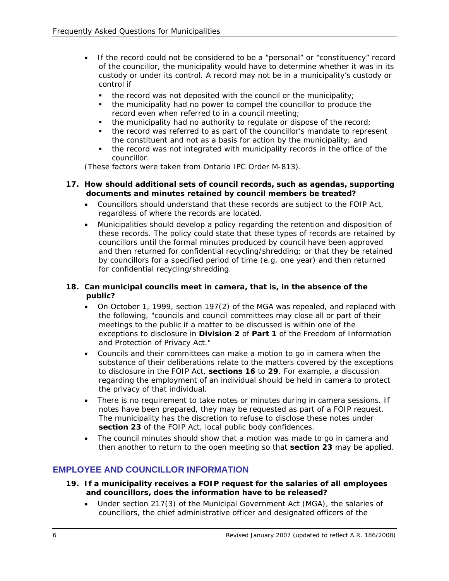- <span id="page-5-0"></span>• If the record could not be considered to be a "personal" or "constituency" record of the councillor, the municipality would have to determine whether it was in its custody or under its control. A record may not be in a municipality's custody or control if
	- $\blacksquare$  the record was not deposited with the council or the municipality;
	- the municipality had no power to compel the councillor to produce the record even when referred to in a council meeting;
	- the municipality had no authority to regulate or dispose of the record;
	- the record was referred to as part of the councillor's mandate to represent the constituent and not as a basis for action by the municipality; and
	- the record was not integrated with municipality records in the office of the councillor.

(These factors were taken from Ontario IPC Order M-813).

## **17. How should additional sets of council records, such as agendas, supporting documents and minutes retained by council members be treated?**

- Councillors should understand that these records are subject to the FOIP Act*,*  regardless of where the records are located.
- Municipalities should develop a policy regarding the retention and disposition of these records. The policy could state that these types of records are retained by councillors until the formal minutes produced by council have been approved and then returned for confidential recycling/shredding; or that they be retained by councillors for a specified period of time (e.g. one year) and then returned for confidential recycling/shredding.

## **18. Can municipal councils meet in camera, that is, in the absence of the public?**

- On October 1, 1999, section 197(2) of the MGA was repealed, and replaced with the following, "councils and council committees may close all or part of their meetings to the public if a matter to be discussed is within one of the exceptions to disclosure in **Division 2** of **Part 1** of the *Freedom of Information and Protection of Privacy Act*."
- Councils and their committees can make a motion to go in camera when the substance of their deliberations relate to the matters covered by the exceptions to disclosure in the FOIP Act, **sections 16** to **29**. For example, a discussion regarding the employment of an individual should be held in camera to protect the privacy of that individual.
- There is no requirement to take notes or minutes during in camera sessions. If notes have been prepared, they may be requested as part of a FOIP request. The municipality has the discretion to refuse to disclose these notes under **section 23** of the FOIP Act, local public body confidences.
- The council minutes should show that a motion was made to go in camera and then another to return to the open meeting so that **section 23** may be applied.

# **EMPLOYEE AND COUNCILLOR INFORMATION**

- **19. If a municipality receives a FOIP request for the salaries of all employees and councillors, does the information have to be released?** 
	- Under section 217(3) of the *Municipal Government Act* (MGA), the salaries of councillors, the chief administrative officer and designated officers of the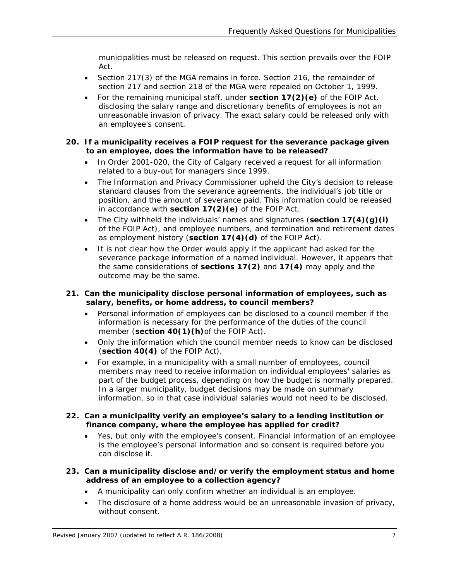municipalities must be released on request. This section prevails over the FOIP Act*.* 

- Section 217(3) of the MGA remains in force. Section 216, the remainder of section 217 and section 218 of the MGA were repealed on October 1, 1999.
- For the remaining municipal staff, under **section 17(2)(e)** of the FOIP Act*,* disclosing the salary range and discretionary benefits of employees is not an unreasonable invasion of privacy. The exact salary could be released only with an employee's consent.

#### **20. If a municipality receives a FOIP request for the severance package given to an employee, does the information have to be released?**

- In *Order 2001-020*, the City of Calgary received a request for all information related to a buy-out for managers since 1999.
- The Information and Privacy Commissioner upheld the City's decision to release standard clauses from the severance agreements, the individual's job title or position, and the amount of severance paid. This information could be released in accordance with **section 17(2)(e)** of the FOIP Act.
- The City withheld the individuals' names and signatures (**section 17(4)(g)(i)** of the FOIP Act), and employee numbers, and termination and retirement dates as employment history (**section 17(4)(d)** of the FOIP Act).
- It is not clear how the Order would apply if the applicant had asked for the severance package information of a named individual. However, it appears that the same considerations of **sections 17(2)** and **17(4)** may apply and the outcome may be the same.

## **21. Can the municipality disclose personal information of employees, such as salary, benefits, or home address, to council members?**

- Personal information of employees can be disclosed to a council member if the information is necessary for the performance of the duties of the council member (**section 40(1)(h)**of the FOIP Act).
- Only the information which the council member needs to know can be disclosed (**section 40(4)** of the FOIP Act).
- For example, in a municipality with a small number of employees, council members may need to receive information on individual employees' salaries as part of the budget process, depending on how the budget is normally prepared. In a larger municipality, budget decisions may be made on summary information, so in that case individual salaries would not need to be disclosed.
- **22. Can a municipality verify an employee's salary to a lending institution or finance company, where the employee has applied for credit?** 
	- Yes, but only with the employee's consent. Financial information of an employee is the employee's personal information and so consent is required before you can disclose it.

#### **23. Can a municipality disclose and/or verify the employment status and home address of an employee to a collection agency?**

- A municipality can only confirm whether an individual is an employee.
- The disclosure of a home address would be an unreasonable invasion of privacy, without consent.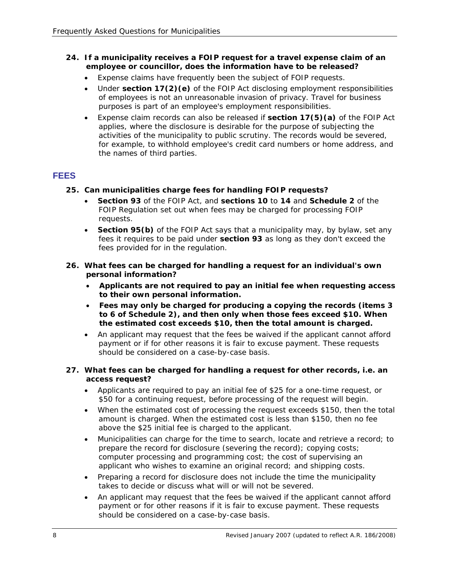## **24. If a municipality receives a FOIP request for a travel expense claim of an employee or councillor, does the information have to be released?**

- Expense claims have frequently been the subject of FOIP requests.
- Under **section 17(2)(e)** of the FOIP Act disclosing employment responsibilities of employees is not an unreasonable invasion of privacy. Travel for business purposes is part of an employee's employment responsibilities.
- Expense claim records can also be released if **section 17(5)(a)** of the FOIP Act applies, where the disclosure is desirable for the purpose of subjecting the activities of the municipality to public scrutiny. The records would be severed, for example, to withhold employee's credit card numbers or home address, and the names of third parties.

# **FEES**

- **25. Can municipalities charge fees for handling FOIP requests?** 
	- **Section 93** of the FOIP Act*,* and **sections 10** to **14** and **Schedule 2** of the FOIP Regulation set out when fees may be charged for processing FOIP requests.
	- **Section 95(b)** of the FOIP Act says that a municipality may, by bylaw, set any fees it requires to be paid under **section 93** as long as they don't exceed the fees provided for in the regulation.
- **26. What fees can be charged for handling a request for an individual's own personal information?** 
	- **Applicants are not required to pay an initial fee when requesting access to their own personal information.**
	- **Fees may only be charged for producing a copying the records (items 3 to 6 of Schedule 2), and then only when those fees exceed \$10. When the estimated cost exceeds \$10, then the total amount is charged.**
	- An applicant may request that the fees be waived if the applicant cannot afford payment or if for other reasons it is fair to excuse payment. These requests should be considered on a case-by-case basis.

#### **27. What fees can be charged for handling a request for other records, i.e. an access request?**

- Applicants are required to pay an initial fee of \$25 for a one-time request, or \$50 for a continuing request, before processing of the request will begin.
- When the estimated cost of processing the request exceeds \$150, then the total amount is charged. When the estimated cost is less than \$150, then no fee above the \$25 initial fee is charged to the applicant.
- Municipalities can charge for the time to search, locate and retrieve a record; to prepare the record for disclosure (severing the record); copying costs; computer processing and programming cost; the cost of supervising an applicant who wishes to examine an original record; and shipping costs.
- Preparing a record for disclosure does not include the time the municipality takes to decide or discuss what will or will not be severed.
- An applicant may request that the fees be waived if the applicant cannot afford payment or for other reasons if it is fair to excuse payment. These requests should be considered on a case-by-case basis.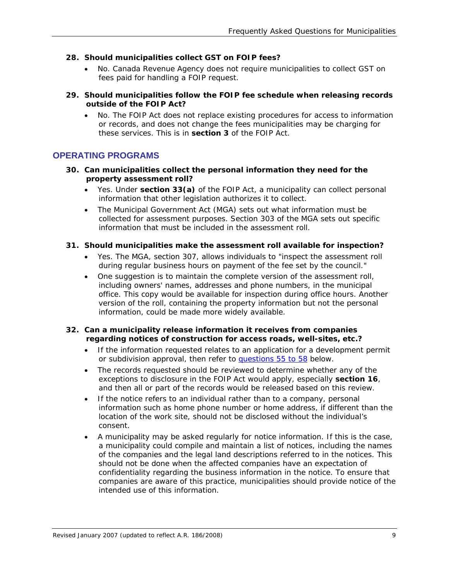## **28. Should municipalities collect GST on FOIP fees?**

• No. Canada Revenue Agency does not require municipalities to collect GST on fees paid for handling a FOIP request.

#### **29. Should municipalities follow the FOIP fee schedule when releasing records outside of the FOIP Act?**

• No. The FOIP Act does not replace existing procedures for access to information or records, and does not change the fees municipalities may be charging for these services. This is in **section 3** of the FOIP Act.

## **OPERATING PROGRAMS**

- **30. Can municipalities collect the personal information they need for the property assessment roll?** 
	- Yes. Under **section 33(a)** of the FOIP Act, a municipality can collect personal information that other legislation authorizes it to collect.
	- The *Municipal Government Act* (MGA) sets out what information must be collected for assessment purposes. Section 303 of the MGA sets out specific information that must be included in the assessment roll.

#### **31. Should municipalities make the assessment roll available for inspection?**

- Yes. The MGA, section 307, allows individuals to "inspect the assessment roll during regular business hours on payment of the fee set by the council."
- One suggestion is to maintain the complete version of the assessment roll, including owners' names, addresses and phone numbers, in the municipal office. This copy would be available for inspection during office hours. Another version of the roll, containing the property information but not the personal information, could be made more widely available.

#### **32. Can a municipality release information it receives from companies regarding notices of construction for access roads, well-sites, etc.?**

- If the information requested relates to an application for a development permit or subdivision approval, then refer to [questions 55 to 58](#page-16-0) below.
- The records requested should be reviewed to determine whether any of the exceptions to disclosure in the FOIP Act would apply, especially **section 16**, and then all or part of the records would be released based on this review.
- If the notice refers to an individual rather than to a company, personal information such as home phone number or home address, if different than the location of the work site, should not be disclosed without the individual's consent.
- A municipality may be asked regularly for notice information. If this is the case, a municipality could compile and maintain a list of notices, including the names of the companies and the legal land descriptions referred to in the notices. This should not be done when the affected companies have an expectation of confidentiality regarding the business information in the notice. To ensure that companies are aware of this practice, municipalities should provide notice of the intended use of this information.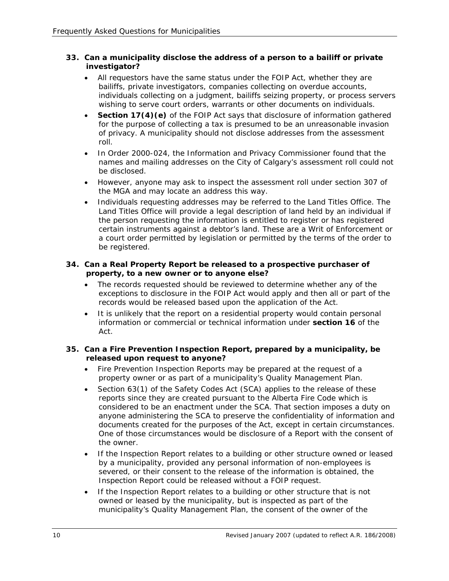## **33. Can a municipality disclose the address of a person to a bailiff or private investigator?**

- All requestors have the same status under the FOIP Act*,* whether they are bailiffs, private investigators, companies collecting on overdue accounts, individuals collecting on a judgment, bailiffs seizing property, or process servers wishing to serve court orders, warrants or other documents on individuals.
- **Section 17(4)(e)** of the FOIP Act says that disclosure of information gathered for the purpose of collecting a tax is presumed to be an unreasonable invasion of privacy. A municipality should not disclose addresses from the assessment roll.
- In *Order 2000-024*, the Information and Privacy Commissioner found that the names and mailing addresses on the City of Calgary's assessment roll could not be disclosed.
- However, anyone may ask to inspect the assessment roll under section 307 of the MGA and may locate an address this way.
- Individuals requesting addresses may be referred to the Land Titles Office. The Land Titles Office will provide a legal description of land held by an individual if the person requesting the information is entitled to register or has registered certain instruments against a debtor's land. These are a Writ of Enforcement or a court order permitted by legislation or permitted by the terms of the order to be registered.

## **34. Can a Real Property Report be released to a prospective purchaser of property, to a new owner or to anyone else?**

- The records requested should be reviewed to determine whether any of the exceptions to disclosure in the FOIP Act would apply and then all or part of the records would be released based upon the application of the Act*.*
- It is unlikely that the report on a residential property would contain personal information or commercial or technical information under **section 16** of the Act.

## **35. Can a Fire Prevention Inspection Report, prepared by a municipality, be released upon request to anyone?**

- Fire Prevention Inspection Reports may be prepared at the request of a property owner or as part of a municipality's Quality Management Plan.
- Section 63(1) of the *Safety Codes Act* (SCA) applies to the release of these reports since they are created pursuant to the Alberta Fire Code which is considered to be an enactment under the SCA*.* That section imposes a duty on anyone administering the SCA to preserve the confidentiality of information and documents created for the purposes of the Act, except in certain circumstances. One of those circumstances would be disclosure of a Report with the consent of the owner.
- If the Inspection Report relates to a building or other structure owned or leased by a municipality, provided any personal information of non-employees is severed, or their consent to the release of the information is obtained, the Inspection Report could be released without a FOIP request.
- If the Inspection Report relates to a building or other structure that is not owned or leased by the municipality, but is inspected as part of the municipality's Quality Management Plan, the consent of the owner of the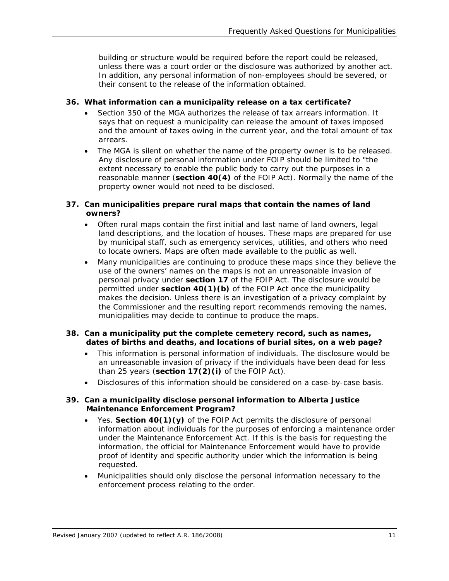building or structure would be required before the report could be released, unless there was a court order or the disclosure was authorized by another act. In addition, any personal information of non-employees should be severed, or their consent to the release of the information obtained.

## **36. What information can a municipality release on a tax certificate?**

- Section 350 of the MGA authorizes the release of tax arrears information. It says that on request a municipality can release the amount of taxes imposed and the amount of taxes owing in the current year, and the total amount of tax arrears.
- The MGA is silent on whether the name of the property owner is to be released. Any disclosure of personal information under FOIP should be limited to "the extent necessary to enable the public body to carry out the purposes in a reasonable manner (**section 40(4)** of the FOIP Act). Normally the name of the property owner would not need to be disclosed.

#### **37. Can municipalities prepare rural maps that contain the names of land owners?**

- Often rural maps contain the first initial and last name of land owners, legal land descriptions, and the location of houses. These maps are prepared for use by municipal staff, such as emergency services, utilities, and others who need to locate owners. Maps are often made available to the public as well.
- Many municipalities are continuing to produce these maps since they believe the use of the owners' names on the maps is not an unreasonable invasion of personal privacy under **section 17** of the FOIP Act. The disclosure would be permitted under **section 40(1)(b)** of the FOIP Act once the municipality makes the decision. Unless there is an investigation of a privacy complaint by the Commissioner and the resulting report recommends removing the names, municipalities may decide to continue to produce the maps.

#### **38. Can a municipality put the complete cemetery record, such as names, dates of births and deaths, and locations of burial sites, on a web page?**

- This information is personal information of individuals. The disclosure would be an unreasonable invasion of privacy if the individuals have been dead for less than 25 years (**section 17(2)(i)** of the FOIP Act).
- Disclosures of this information should be considered on a case-by-case basis.

#### **39. Can a municipality disclose personal information to Alberta Justice Maintenance Enforcement Program?**

- Yes. **Section 40(1)(y)** of the FOIP Act permits the disclosure of personal information about individuals for the purposes of enforcing a maintenance order under the *Maintenance Enforcement Act*. If this is the basis for requesting the information, the official for Maintenance Enforcement would have to provide proof of identity and specific authority under which the information is being requested.
- Municipalities should only disclose the personal information necessary to the enforcement process relating to the order.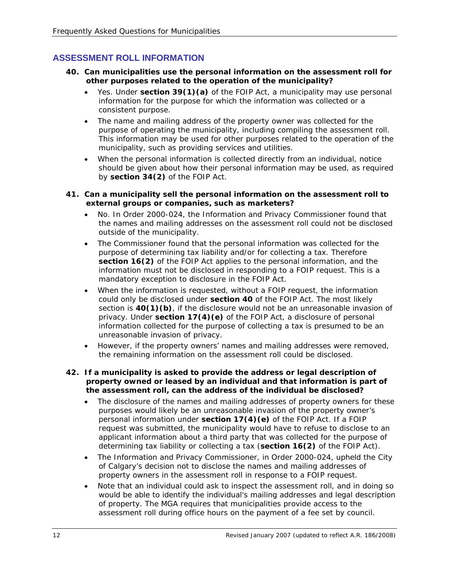# <span id="page-11-0"></span>**ASSESSMENT ROLL INFORMATION**

- **40. Can municipalities use the personal information on the assessment roll for other purposes related to the operation of the municipality?** 
	- Yes. Under **section 39(1)(a)** of the FOIP Act*,* a municipality may use personal information for the purpose for which the information was collected or a consistent purpose.
	- The name and mailing address of the property owner was collected for the purpose of operating the municipality, including compiling the assessment roll. This information may be used for other purposes related to the operation of the municipality, such as providing services and utilities.
	- When the personal information is collected directly from an individual, notice should be given about how their personal information may be used, as required by **section 34(2)** of the FOIP Act*.*

#### **41. Can a municipality sell the personal information on the assessment roll to external groups or companies, such as marketers?**

- No. In *Order 2000-024*, the Information and Privacy Commissioner found that the names and mailing addresses on the assessment roll could not be disclosed outside of the municipality.
- The Commissioner found that the personal information was collected for the purpose of determining tax liability and/or for collecting a tax. Therefore **section 16(2)** of the FOIP Act applies to the personal information, and the information must not be disclosed in responding to a FOIP request. This is a mandatory exception to disclosure in the FOIP Act.
- When the information is requested, without a FOIP request, the information could only be disclosed under **section 40** of the FOIP Act. The most likely section is **40(1)(b)**, if the disclosure would not be an unreasonable invasion of privacy. Under **section 17(4)(e)** of the FOIP Act, a disclosure of personal information collected for the purpose of collecting a tax is presumed to be an unreasonable invasion of privacy.
- However, if the property owners' names and mailing addresses were removed, the remaining information on the assessment roll could be disclosed.

#### **42. If a municipality is asked to provide the address or legal description of property owned or leased by an individual and that information is part of the assessment roll, can the address of the individual be disclosed?**

- The disclosure of the names and mailing addresses of property owners for these purposes would likely be an unreasonable invasion of the property owner's personal information under **section 17(4)(e)** of the FOIP Act. If a FOIP request was submitted, the municipality would have to refuse to disclose to an applicant information about a third party that was collected for the purpose of determining tax liability or collecting a tax (**section 16(2)** of the FOIP Act).
- The Information and Privacy Commissioner, in *Order 2000-024*, upheld the City of Calgary's decision not to disclose the names and mailing addresses of property owners in the assessment roll in response to a FOIP request.
- Note that an individual could ask to inspect the assessment roll, and in doing so would be able to identify the individual's mailing addresses and legal description of property. The MGA requires that municipalities provide access to the assessment roll during office hours on the payment of a fee set by council.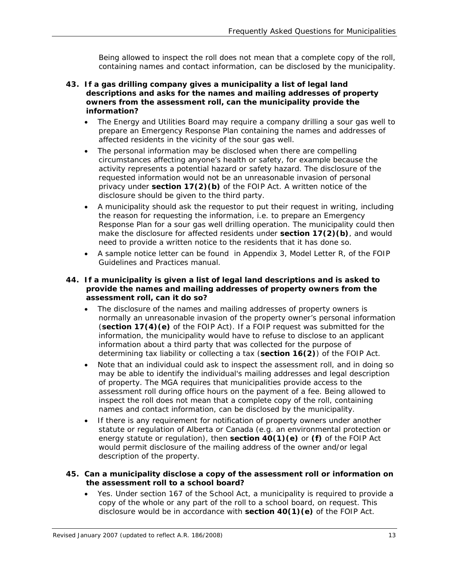Being allowed to inspect the roll does not mean that a complete copy of the roll, containing names and contact information, can be disclosed by the municipality.

- **43. If a gas drilling company gives a municipality a list of legal land descriptions and asks for the names and mailing addresses of property owners from the assessment roll, can the municipality provide the information?** 
	- The Energy and Utilities Board may require a company drilling a sour gas well to prepare an Emergency Response Plan containing the names and addresses of affected residents in the vicinity of the sour gas well.
	- The personal information may be disclosed when there are compelling circumstances affecting anyone's health or safety, for example because the activity represents a potential hazard or safety hazard. The disclosure of the requested information would not be an unreasonable invasion of personal privacy under **section 17(2)(b)** of the FOIP Act. A written notice of the disclosure should be given to the third party.
	- A municipality should ask the requestor to put their request in writing, including the reason for requesting the information, i.e. to prepare an Emergency Response Plan for a sour gas well drilling operation. The municipality could then make the disclosure for affected residents under **section 17(2)(b)**, and would need to provide a written notice to the residents that it has done so.
	- A sample notice letter can be found in Appendix 3, Model Letter R, of the *FOIP Guidelines and Practices* manual.

#### **44. If a municipality is given a list of legal land descriptions and is asked to provide the names and mailing addresses of property owners from the assessment roll, can it do so?**

- The disclosure of the names and mailing addresses of property owners is normally an unreasonable invasion of the property owner's personal information (**section 17(4)(e)** of the FOIP Act). If a FOIP request was submitted for the information, the municipality would have to refuse to disclose to an applicant information about a third party that was collected for the purpose of determining tax liability or collecting a tax (**section 16(2)**) of the FOIP Act*.*
- Note that an individual could ask to inspect the assessment roll, and in doing so may be able to identify the individual's mailing addresses and legal description of property. The MGA requires that municipalities provide access to the assessment roll during office hours on the payment of a fee. Being allowed to inspect the roll does not mean that a complete copy of the roll, containing names and contact information, can be disclosed by the municipality.
- If there is any requirement for notification of property owners under another statute or regulation of Alberta or Canada (e.g. an environmental protection or energy statute or regulation), then **section 40(1)(e)** or **(f)** of the FOIP Act would permit disclosure of the mailing address of the owner and/or legal description of the property.

#### **45. Can a municipality disclose a copy of the assessment roll or information on the assessment roll to a school board?**

• Yes. Under section 167 of the *School Act,* a municipality is required to provide a copy of the whole or any part of the roll to a school board, on request. This disclosure would be in accordance with **section 40(1)(e)** of the FOIP Act*.*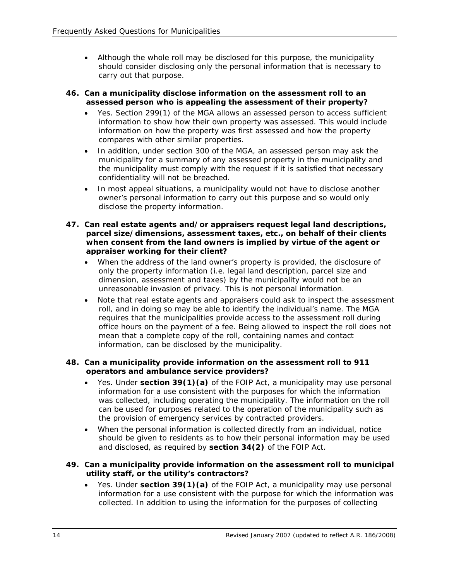• Although the whole roll may be disclosed for this purpose, the municipality should consider disclosing only the personal information that is necessary to carry out that purpose.

#### **46. Can a municipality disclose information on the assessment roll to an assessed person who is appealing the assessment of their property?**

- Yes. Section 299(1) of the MGA allows an assessed person to access sufficient information to show how their own property was assessed. This would include information on how the property was first assessed and how the property compares with other similar properties.
- In addition, under section 300 of the MGA, an assessed person may ask the municipality for a summary of any assessed property in the municipality and the municipality must comply with the request if it is satisfied that necessary confidentiality will not be breached.
- In most appeal situations, a municipality would not have to disclose another owner's personal information to carry out this purpose and so would only disclose the property information.
- **47. Can real estate agents and/or appraisers request legal land descriptions, parcel size/dimensions, assessment taxes, etc., on behalf of their clients when consent from the land owners is implied by virtue of the agent or appraiser working for their client?** 
	- When the address of the land owner's property is provided, the disclosure of only the property information (i.e. legal land description, parcel size and dimension, assessment and taxes) by the municipality would not be an unreasonable invasion of privacy. This is not personal information.
	- Note that real estate agents and appraisers could ask to inspect the assessment roll, and in doing so may be able to identify the individual's name. The MGA requires that the municipalities provide access to the assessment roll during office hours on the payment of a fee. Being allowed to inspect the roll does not mean that a complete copy of the roll, containing names and contact information, can be disclosed by the municipality.

## **48. Can a municipality provide information on the assessment roll to 911 operators and ambulance service providers?**

- Yes. Under **section 39(1)(a)** of the FOIP Act, a municipality may use personal information for a use consistent with the purposes for which the information was collected, including operating the municipality. The information on the roll can be used for purposes related to the operation of the municipality such as the provision of emergency services by contracted providers.
- When the personal information is collected directly from an individual, notice should be given to residents as to how their personal information may be used and disclosed, as required by **section 34(2)** of the FOIP Act*.*

## **49. Can a municipality provide information on the assessment roll to municipal utility staff, or the utility's contractors?**

• Yes. Under **section 39(1)(a)** of the FOIP Act, a municipality may use personal information for a use consistent with the purpose for which the information was collected. In addition to using the information for the purposes of collecting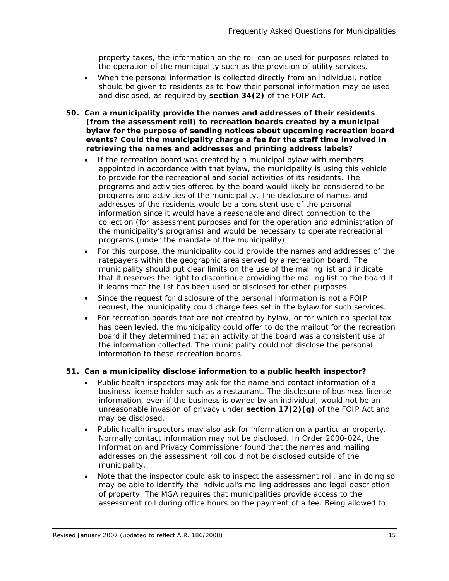property taxes, the information on the roll can be used for purposes related to the operation of the municipality such as the provision of utility services.

- When the personal information is collected directly from an individual, notice should be given to residents as to how their personal information may be used and disclosed, as required by **section 34(2)** of the FOIP Act*.*
- **50. Can a municipality provide the names and addresses of their residents (from the assessment roll) to recreation boards created by a municipal bylaw for the purpose of sending notices about upcoming recreation board events? Could the municipality charge a fee for the staff time involved in retrieving the names and addresses and printing address labels?** 
	- If the recreation board was created by a municipal bylaw with members appointed in accordance with that bylaw, the municipality is using this vehicle to provide for the recreational and social activities of its residents. The programs and activities offered by the board would likely be considered to be programs and activities of the municipality. The disclosure of names and addresses of the residents would be a consistent use of the personal information since it would have a reasonable and direct connection to the collection (for assessment purposes and for the operation and administration of the municipality's programs) and would be necessary to operate recreational programs (under the mandate of the municipality).
	- For this purpose, the municipality could provide the names and addresses of the ratepayers within the geographic area served by a recreation board. The municipality should put clear limits on the use of the mailing list and indicate that it reserves the right to discontinue providing the mailing list to the board if it learns that the list has been used or disclosed for other purposes.
	- Since the request for disclosure of the personal information is not a FOIP request, the municipality could charge fees set in the bylaw for such services.
	- For recreation boards that are not created by bylaw, or for which no special tax has been levied, the municipality could offer to do the mailout for the recreation board if they determined that an activity of the board was a consistent use of the information collected. The municipality could not disclose the personal information to these recreation boards.

## **51. Can a municipality disclose information to a public health inspector?**

- Public health inspectors may ask for the name and contact information of a business license holder such as a restaurant. The disclosure of business license information, even if the business is owned by an individual, would not be an unreasonable invasion of privacy under **section 17(2)(g)** of the FOIP Act and may be disclosed.
- Public health inspectors may also ask for information on a particular property. Normally contact information may not be disclosed. In *Order 2000-024*, the Information and Privacy Commissioner found that the names and mailing addresses on the assessment roll could not be disclosed outside of the municipality.
- Note that the inspector could ask to inspect the assessment roll, and in doing so may be able to identify the individual's mailing addresses and legal description of property. The MGA requires that municipalities provide access to the assessment roll during office hours on the payment of a fee. Being allowed to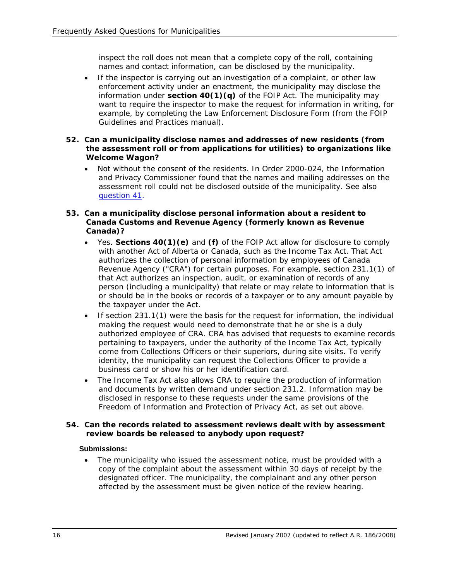inspect the roll does not mean that a complete copy of the roll, containing names and contact information, can be disclosed by the municipality.

If the inspector is carrying out an investigation of a complaint, or other law enforcement activity under an enactment, the municipality may disclose the information under **section 40(1)(q)** of the FOIP Act. The municipality may want to require the inspector to make the request for information in writing, for example, by completing the Law Enforcement Disclosure Form (from the *FOIP Guidelines and Practices* manual).

#### **52. Can a municipality disclose names and addresses of new residents (from the assessment roll or from applications for utilities) to organizations like Welcome Wagon?**

- Not without the consent of the residents. In *Order 2000-024*, the Information and Privacy Commissioner found that the names and mailing addresses on the assessment roll could not be disclosed outside of the municipality. See also [question 41.](#page-11-0)
- **53. Can a municipality disclose personal information about a resident to Canada Customs and Revenue Agency (formerly known as Revenue Canada)?** 
	- Yes. **Sections 40(1)(e)** and **(f)** of the FOIP Act allow for disclosure to comply with another Act of Alberta or Canada, such as the *Income Tax Act*. That *Act* authorizes the collection of personal information by employees of Canada Revenue Agency ("CRA") for certain purposes. For example, section 231.1(1) of that Act authorizes an inspection, audit, or examination of records of any person (including a municipality) that relate or may relate to information that is or should be in the books or records of a taxpayer or to any amount payable by the taxpayer under the Act.
	- If section 231.1(1) were the basis for the request for information, the individual making the request would need to demonstrate that he or she is a duly authorized employee of CRA. CRA has advised that requests to examine records pertaining to taxpayers, under the authority of the *Income Tax Act*, typically come from Collections Officers or their superiors, during site visits. To verify identity, the municipality can request the Collections Officer to provide a business card or show his or her identification card.
	- The *Income Tax Act* also allows CRA to require the production of information and documents by written demand under section 231.2. Information may be disclosed in response to these requests under the same provisions of the *Freedom of Information and Protection of Privacy Act*, as set out above.

## **54. Can the records related to assessment reviews dealt with by assessment review boards be released to anybody upon request?**

## **Submissions:**

• The municipality who issued the assessment notice, must be provided with a copy of the complaint about the assessment within 30 days of receipt by the designated officer. The municipality, the complainant and any other person affected by the assessment must be given notice of the review hearing.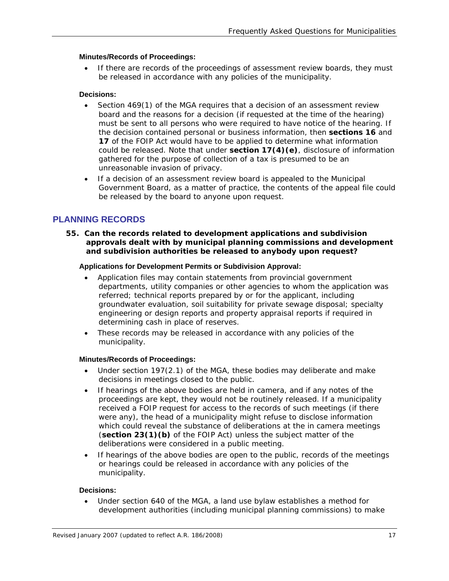#### <span id="page-16-0"></span>**Minutes/Records of Proceedings:**

• If there are records of the proceedings of assessment review boards, they must be released in accordance with any policies of the municipality.

#### **Decisions:**

- Section 469(1) of the MGA requires that a decision of an assessment review board and the reasons for a decision (if requested at the time of the hearing) must be sent to all persons who were required to have notice of the hearing. If the decision contained personal or business information, then **sections 16** and **17** of the FOIP Act would have to be applied to determine what information could be released. Note that under **section 17(4)(e)**, disclosure of information gathered for the purpose of collection of a tax is presumed to be an unreasonable invasion of privacy.
- If a decision of an assessment review board is appealed to the Municipal Government Board, as a matter of practice, the contents of the appeal file could be released by the board to anyone upon request.

# **PLANNING RECORDS**

**55. Can the records related to development applications and subdivision approvals dealt with by municipal planning commissions and development and subdivision authorities be released to anybody upon request?** 

#### **Applications for Development Permits or Subdivision Approval:**

- Application files may contain statements from provincial government departments, utility companies or other agencies to whom the application was referred; technical reports prepared by or for the applicant, including groundwater evaluation, soil suitability for private sewage disposal; specialty engineering or design reports and property appraisal reports if required in determining cash in place of reserves.
- These records may be released in accordance with any policies of the municipality.

#### **Minutes/Records of Proceedings:**

- Under section 197(2.1) of the MGA*,* these bodies may deliberate and make decisions in meetings closed to the public.
- If hearings of the above bodies are held in camera, and if any notes of the proceedings are kept, they would not be routinely released. If a municipality received a FOIP request for access to the records of such meetings (if there were any), the head of a municipality might refuse to disclose information which could reveal the substance of deliberations at the in camera meetings (**section 23(1)(b)** of the FOIP Act) unless the subject matter of the deliberations were considered in a public meeting.
- If hearings of the above bodies are open to the public, records of the meetings or hearings could be released in accordance with any policies of the municipality.

#### **Decisions:**

• Under section 640 of the MGA*,* a land use bylaw establishes a method for development authorities (including municipal planning commissions) to make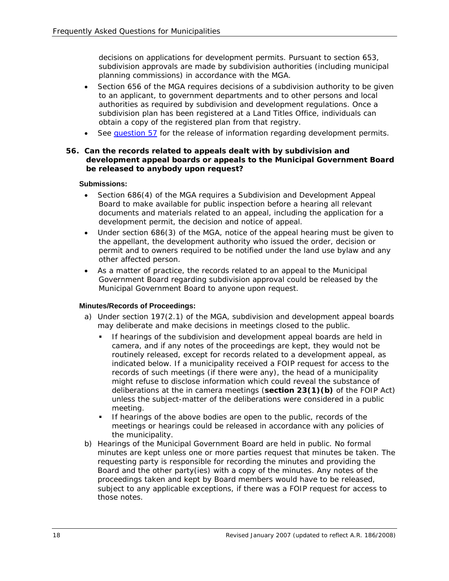decisions on applications for development permits. Pursuant to section 653, subdivision approvals are made by subdivision authorities (including municipal planning commissions) in accordance with the MGA*.*

- Section 656 of the MGA requires decisions of a subdivision authority to be given to an applicant, to government departments and to other persons and local authorities as required by subdivision and development regulations. Once a subdivision plan has been registered at a Land Titles Office, individuals can obtain a copy of the registered plan from that registry.
- See [question 57](#page-18-0) for the release of information regarding development permits.

#### **56. Can the records related to appeals dealt with by subdivision and development appeal boards or appeals to the Municipal Government Board be released to anybody upon request?**

#### **Submissions:**

- Section 686(4) of the MGA requires a Subdivision and Development Appeal Board to make available for public inspection before a hearing all relevant documents and materials related to an appeal, including the application for a development permit, the decision and notice of appeal.
- Under section 686(3) of the MGA, notice of the appeal hearing must be given to the appellant, the development authority who issued the order, decision or permit and to owners required to be notified under the land use bylaw and any other affected person.
- As a matter of practice, the records related to an appeal to the Municipal Government Board regarding subdivision approval could be released by the Municipal Government Board to anyone upon request.

#### **Minutes/Records of Proceedings:**

- a) Under section 197(2.1) of the MGA*,* subdivision and development appeal boards may deliberate and make decisions in meetings closed to the public.
	- If hearings of the subdivision and development appeal boards are held in camera, and if any notes of the proceedings are kept, they would not be routinely released, except for records related to a development appeal, as indicated below. If a municipality received a FOIP request for access to the records of such meetings (if there were any), the head of a municipality might refuse to disclose information which could reveal the substance of deliberations at the in camera meetings (**section 23(1)(b)** of the FOIP Act*)* unless the subject-matter of the deliberations were considered in a public meeting.
	- If hearings of the above bodies are open to the public, records of the meetings or hearings could be released in accordance with any policies of the municipality.
- b) Hearings of the Municipal Government Board are held in public. No formal minutes are kept unless one or more parties request that minutes be taken. The requesting party is responsible for recording the minutes and providing the Board and the other party(ies) with a copy of the minutes. Any notes of the proceedings taken and kept by Board members would have to be released, subject to any applicable exceptions, if there was a FOIP request for access to those notes.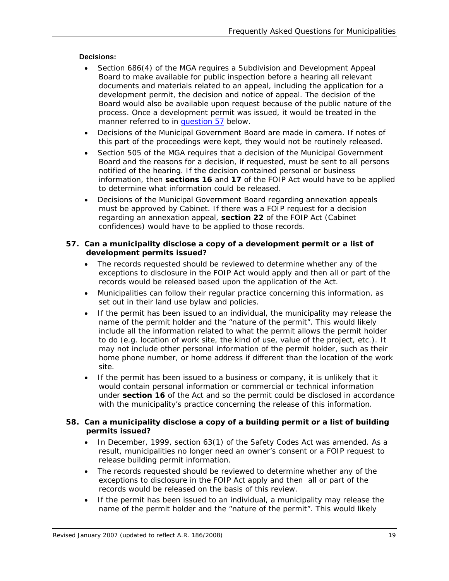## <span id="page-18-0"></span>**Decisions:**

- Section 686(4) of the MGA requires a Subdivision and Development Appeal Board to make available for public inspection before a hearing all relevant documents and materials related to an appeal, including the application for a development permit, the decision and notice of appeal. The decision of the Board would also be available upon request because of the public nature of the process. Once a development permit was issued, it would be treated in the manner referred to in [question 57](#page-18-0) below.
- Decisions of the Municipal Government Board are made in camera. If notes of this part of the proceedings were kept, they would not be routinely released.
- Section 505 of the MGA requires that a decision of the Municipal Government Board and the reasons for a decision, if requested, must be sent to all persons notified of the hearing. If the decision contained personal or business information, then **sections 16** and **17** of the FOIP Act would have to be applied to determine what information could be released.
- Decisions of the Municipal Government Board regarding annexation appeals must be approved by Cabinet. If there was a FOIP request for a decision regarding an annexation appeal, **section 22** of the FOIP Act (Cabinet confidences) would have to be applied to those records.

## **57. Can a municipality disclose a copy of a development permit or a list of development permits issued?**

- The records requested should be reviewed to determine whether any of the exceptions to disclosure in the FOIP Act would apply and then all or part of the records would be released based upon the application of the Act*.*
- Municipalities can follow their regular practice concerning this information, as set out in their land use bylaw and policies.
- If the permit has been issued to an individual, the municipality may release the name of the permit holder and the "nature of the permit". This would likely include all the information related to what the permit allows the permit holder to do (e.g. location of work site, the kind of use, value of the project, etc.). It may not include other personal information of the permit holder, such as their home phone number, or home address if different than the location of the work site.
- If the permit has been issued to a business or company, it is unlikely that it would contain personal information or commercial or technical information under **section 16** of the Act and so the permit could be disclosed in accordance with the municipality's practice concerning the release of this information.

## **58. Can a municipality disclose a copy of a building permit or a list of building permits issued?**

- In December, 1999, section 63(1) of the *Safety Codes Act* was amended. As a result, municipalities no longer need an owner's consent or a FOIP request to release building permit information.
- The records requested should be reviewed to determine whether any of the exceptions to disclosure in the FOIP Act apply and then all or part of the records would be released on the basis of this review.
- If the permit has been issued to an individual, a municipality may release the name of the permit holder and the "nature of the permit". This would likely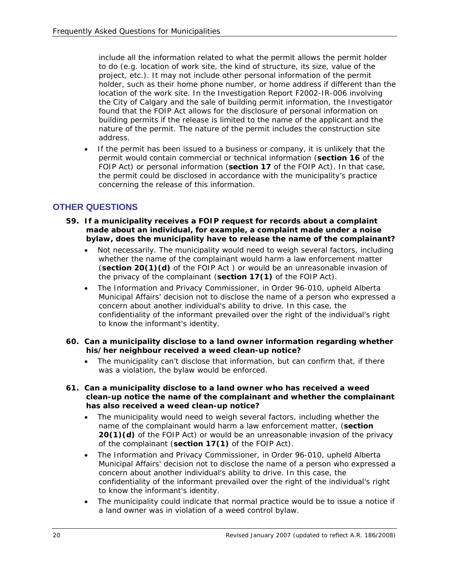include all the information related to what the permit allows the permit holder to do (e.g. location of work site, the kind of structure, its size, value of the project, etc.). It may not include other personal information of the permit holder, such as their home phone number, or home address if different than the location of the work site. In the *Investigation Report F2002-IR-006* involving the City of Calgary and the sale of building permit information, the Investigator found that the FOIP Act allows for the disclosure of personal information on building permits if the release is limited to the name of the applicant and the nature of the permit. The nature of the permit includes the construction site address.

• If the permit has been issued to a business or company, it is unlikely that the permit would contain commercial or technical information (**section 16** of the FOIP Act) or personal information (**section 17** of the FOIP Act). In that case, the permit could be disclosed in accordance with the municipality's practice concerning the release of this information.

# **OTHER QUESTIONS**

- **59. If a municipality receives a FOIP request for records about a complaint made about an individual, for example, a complaint made under a noise bylaw, does the municipality have to release the name of the complainant?** 
	- Not necessarily. The municipality would need to weigh several factors, including whether the name of the complainant would harm a law enforcement matter (**section 20(1)(d)** of the FOIP Act ) or would be an unreasonable invasion of the privacy of the complainant (**section 17(1)** of the FOIP Act).
	- The Information and Privacy Commissioner, in *Order 96-010*, upheld Alberta Municipal Affairs' decision not to disclose the name of a person who expressed a concern about another individual's ability to drive. In this case, the confidentiality of the informant prevailed over the right of the individual's right to know the informant's identity.
- **60. Can a municipality disclose to a land owner information regarding whether his/her neighbour received a weed clean-up notice?** 
	- The municipality can't disclose that information, but can confirm that, if there was a violation, the bylaw would be enforced.
- **61. Can a municipality disclose to a land owner who has received a weed clean-up notice the name of the complainant and whether the complainant has also received a weed clean-up notice?** 
	- The municipality would need to weigh several factors, including whether the name of the complainant would harm a law enforcement matter, (**section 20(1)(d)** of the FOIP Act) or would be an unreasonable invasion of the privacy of the complainant (**section 17(1)** of the FOIP Act).
	- The Information and Privacy Commissioner, in *Order 96-010*, upheld Alberta Municipal Affairs' decision not to disclose the name of a person who expressed a concern about another individual's ability to drive. In this case, the confidentiality of the informant prevailed over the right of the individual's right to know the informant's identity.
	- The municipality could indicate that normal practice would be to issue a notice if a land owner was in violation of a weed control bylaw.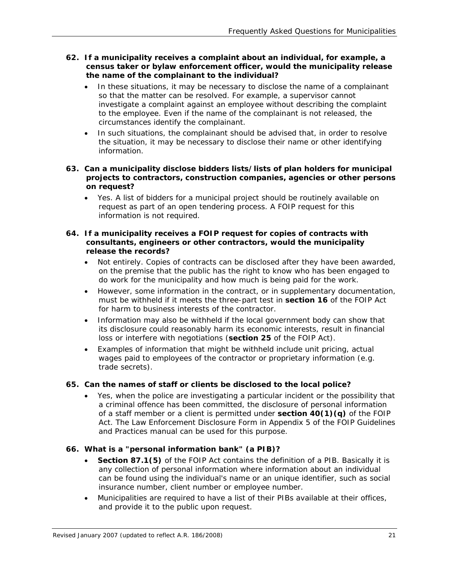- **62. If a municipality receives a complaint about an individual, for example, a census taker or bylaw enforcement officer, would the municipality release the name of the complainant to the individual?** 
	- In these situations, it may be necessary to disclose the name of a complainant so that the matter can be resolved. For example, a supervisor cannot investigate a complaint against an employee without describing the complaint to the employee. Even if the name of the complainant is not released, the circumstances identify the complainant.
	- In such situations, the complainant should be advised that, in order to resolve the situation, it may be necessary to disclose their name or other identifying information.

#### **63. Can a municipality disclose bidders lists/lists of plan holders for municipal projects to contractors, construction companies, agencies or other persons on request?**

• Yes. A list of bidders for a municipal project should be routinely available on request as part of an open tendering process. A FOIP request for this information is not required.

#### **64. If a municipality receives a FOIP request for copies of contracts with consultants, engineers or other contractors, would the municipality release the records?**

- Not entirely. Copies of contracts can be disclosed after they have been awarded, on the premise that the public has the right to know who has been engaged to do work for the municipality and how much is being paid for the work.
- However, some information in the contract, or in supplementary documentation, must be withheld if it meets the three-part test in **section 16** of the FOIP Act for harm to business interests of the contractor.
- Information may also be withheld if the local government body can show that its disclosure could reasonably harm its economic interests, result in financial loss or interfere with negotiations (**section 25** of the FOIP Act).
- Examples of information that might be withheld include unit pricing, actual wages paid to employees of the contractor or proprietary information (e.g. trade secrets).

## **65. Can the names of staff or clients be disclosed to the local police?**

• Yes, when the police are investigating a particular incident or the possibility that a criminal offence has been committed, the disclosure of personal information of a staff member or a client is permitted under **section 40(1)(q)** of the FOIP Act. The Law Enforcement Disclosure Form in Appendix 5 of the *FOIP Guidelines and Practices* manual can be used for this purpose.

## **66. What is a "personal information bank" (a PIB)?**

- **Section 87.1(5)** of the FOIP Act contains the definition of a PIB. Basically it is any collection of personal information where information about an individual can be found using the individual's name or an unique identifier, such as social insurance number, client number or employee number.
- Municipalities are required to have a list of their PIBs available at their offices, and provide it to the public upon request.